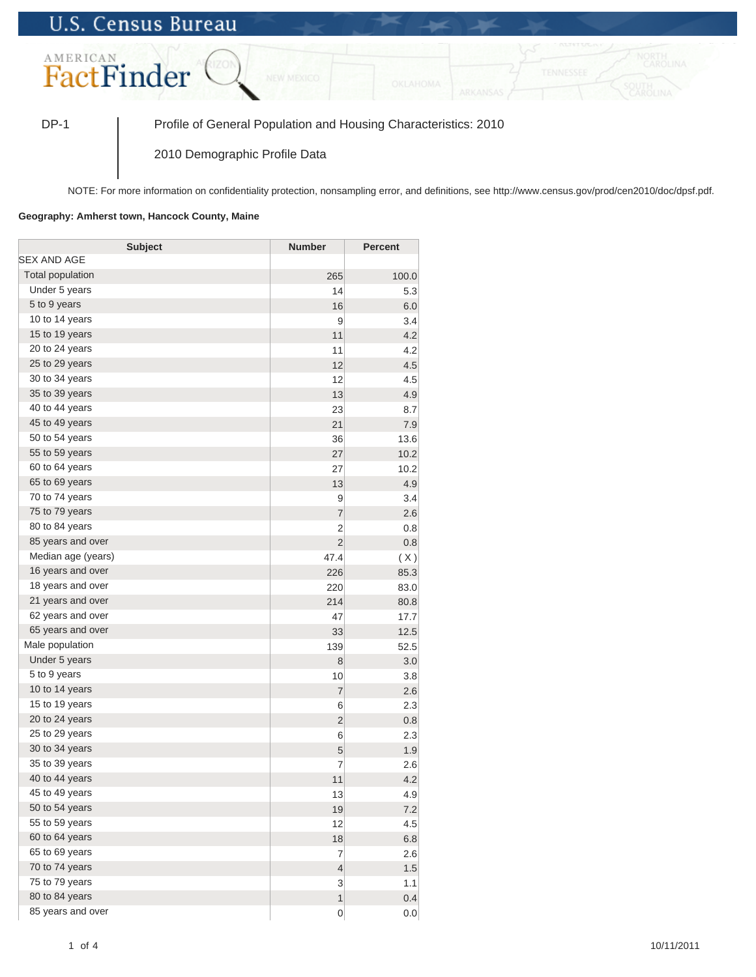## **U.S. Census Bureau**



DP-1 Profile of General Population and Housing Characteristics: 2010

2010 Demographic Profile Data

NOTE: For more information on confidentiality protection, nonsampling error, and definitions, see http://www.census.gov/prod/cen2010/doc/dpsf.pdf.

## **Geography: Amherst town, Hancock County, Maine**

| <b>Subject</b>     | <b>Number</b>  | <b>Percent</b> |
|--------------------|----------------|----------------|
| <b>SEX AND AGE</b> |                |                |
| Total population   | 265            | 100.0          |
| Under 5 years      | 14             | 5.3            |
| 5 to 9 years       | 16             | 6.0            |
| 10 to 14 years     | 9              | 3.4            |
| 15 to 19 years     | 11             | 4.2            |
| 20 to 24 years     | 11             | 4.2            |
| 25 to 29 years     | 12             | 4.5            |
| 30 to 34 years     | 12             | 4.5            |
| 35 to 39 years     | 13             | 4.9            |
| 40 to 44 years     | 23             | 8.7            |
| 45 to 49 years     | 21             | 7.9            |
| 50 to 54 years     | 36             | 13.6           |
| 55 to 59 years     | 27             | 10.2           |
| 60 to 64 years     | 27             | 10.2           |
| 65 to 69 years     | 13             | 4.9            |
| 70 to 74 years     | 9              | 3.4            |
| 75 to 79 years     | $\overline{7}$ | 2.6            |
| 80 to 84 years     | $\overline{2}$ | 0.8            |
| 85 years and over  | $\overline{2}$ | 0.8            |
| Median age (years) | 47.4           | (X)            |
| 16 years and over  | 226            | 85.3           |
| 18 years and over  | 220            | 83.0           |
| 21 years and over  | 214            | 80.8           |
| 62 years and over  | 47             | 17.7           |
| 65 years and over  | 33             | 12.5           |
| Male population    | 139            | 52.5           |
| Under 5 years      | 8              | 3.0            |
| 5 to 9 years       | 10             | 3.8            |
| 10 to 14 years     | $\overline{7}$ | 2.6            |
| 15 to 19 years     | 6              | 2.3            |
| 20 to 24 years     | $\overline{2}$ | 0.8            |
| 25 to 29 years     | 6              | 2.3            |
| 30 to 34 years     | 5              | 1.9            |
| 35 to 39 years     | $\overline{7}$ | 2.6            |
| 40 to 44 years     | 11             | 4.2            |
| 45 to 49 years     | 13             | 4.9            |
| 50 to 54 years     | 19             | 7.2            |
| 55 to 59 years     | 12             | 4.5            |
| 60 to 64 years     | 18             | 6.8            |
| 65 to 69 years     | $\overline{7}$ | 2.6            |
| 70 to 74 years     | $\overline{4}$ | 1.5            |
| 75 to 79 years     | 3              | 1.1            |
| 80 to 84 years     | $\overline{1}$ | 0.4            |
| 85 years and over  | $\mathbf 0$    | 0.0            |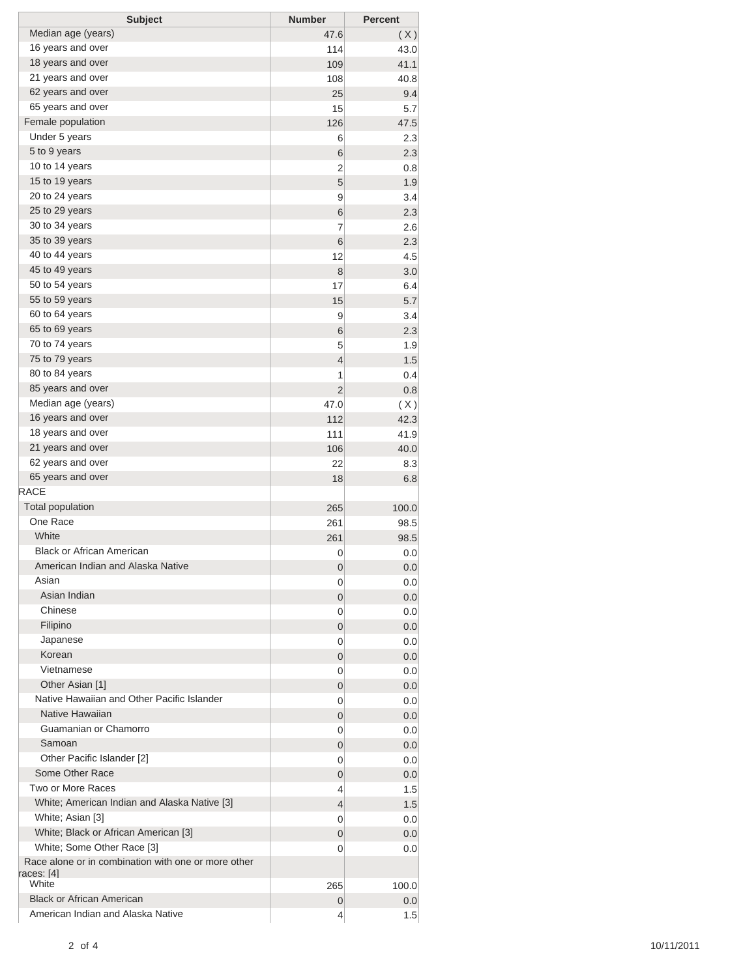| <b>Subject</b>                                      | <b>Number</b>  | <b>Percent</b> |
|-----------------------------------------------------|----------------|----------------|
| Median age (years)                                  | 47.6           | (X)            |
| 16 years and over                                   | 114            | 43.0           |
| 18 years and over                                   | 109            | 41.1           |
| 21 years and over                                   | 108            | 40.8           |
| 62 years and over                                   | 25             | 9.4            |
| 65 years and over                                   | 15             | 5.7            |
| Female population                                   | 126            | 47.5           |
| Under 5 years                                       | 6              | 2.3            |
| 5 to 9 years                                        | 6              | 2.3            |
| 10 to 14 years                                      | 2              | 0.8            |
| 15 to 19 years                                      | 5              | 1.9            |
| 20 to 24 years                                      | 9              | 3.4            |
| 25 to 29 years                                      | 6              | 2.3            |
| 30 to 34 years                                      | 7              | 2.6            |
| 35 to 39 years                                      | 6              | 2.3            |
| 40 to 44 years                                      | 12             | 4.5            |
| 45 to 49 years                                      | 8              | 3.0            |
| 50 to 54 years                                      | 17             | 6.4            |
| 55 to 59 years                                      | 15             | 5.7            |
| 60 to 64 years                                      | 9              | 3.4            |
| 65 to 69 years                                      | 6              | 2.3            |
| 70 to 74 years                                      | 5              | 1.9            |
| 75 to 79 years                                      | 4              | 1.5            |
| 80 to 84 years                                      | 1              | 0.4            |
| 85 years and over                                   | $\overline{2}$ | 0.8            |
| Median age (years)                                  | 47.0           | (X)            |
| 16 years and over                                   | 112            | 42.3           |
| 18 years and over                                   | 111            | 41.9           |
| 21 years and over                                   | 106            | 40.0           |
| 62 years and over                                   | 22             | 8.3            |
| 65 years and over                                   | 18             | 6.8            |
| RACE                                                |                |                |
| <b>Total population</b>                             | 265            | 100.0          |
| One Race                                            | 261            | 98.5           |
| White                                               | 261            | 98.5           |
| <b>Black or African American</b>                    | 0              | 0.0            |
| American Indian and Alaska Native                   | 0              | 0.0            |
| Asian                                               | 0              | 0.0            |
| Asian Indian                                        | 0              | 0.0            |
| Chinese                                             | 0              | 0.0            |
| Filipino                                            | 0              | 0.0            |
| Japanese                                            | 0              | 0.0            |
| Korean                                              | 0              | 0.0            |
| Vietnamese                                          | 0              | 0.0            |
| Other Asian [1]                                     | 0              | 0.0            |
| Native Hawaiian and Other Pacific Islander          | 0              | 0.0            |
| Native Hawaiian                                     | 0              | 0.0            |
| Guamanian or Chamorro                               | 0              | 0.0            |
| Samoan                                              | 0              | 0.0            |
| Other Pacific Islander [2]                          | 0              | 0.0            |
| Some Other Race                                     | 0              | 0.0            |
| Two or More Races                                   | 4              | 1.5            |
| White; American Indian and Alaska Native [3]        | 4              | 1.5            |
| White; Asian [3]                                    | 0              | 0.0            |
| White; Black or African American [3]                | 0              | 0.0            |
| White; Some Other Race [3]                          | 0              | 0.0            |
| Race alone or in combination with one or more other |                |                |
| races: [4]                                          |                |                |
| White                                               | 265            | 100.0          |
| <b>Black or African American</b>                    | 0              | 0.0            |
| American Indian and Alaska Native                   | 4              | 1.5            |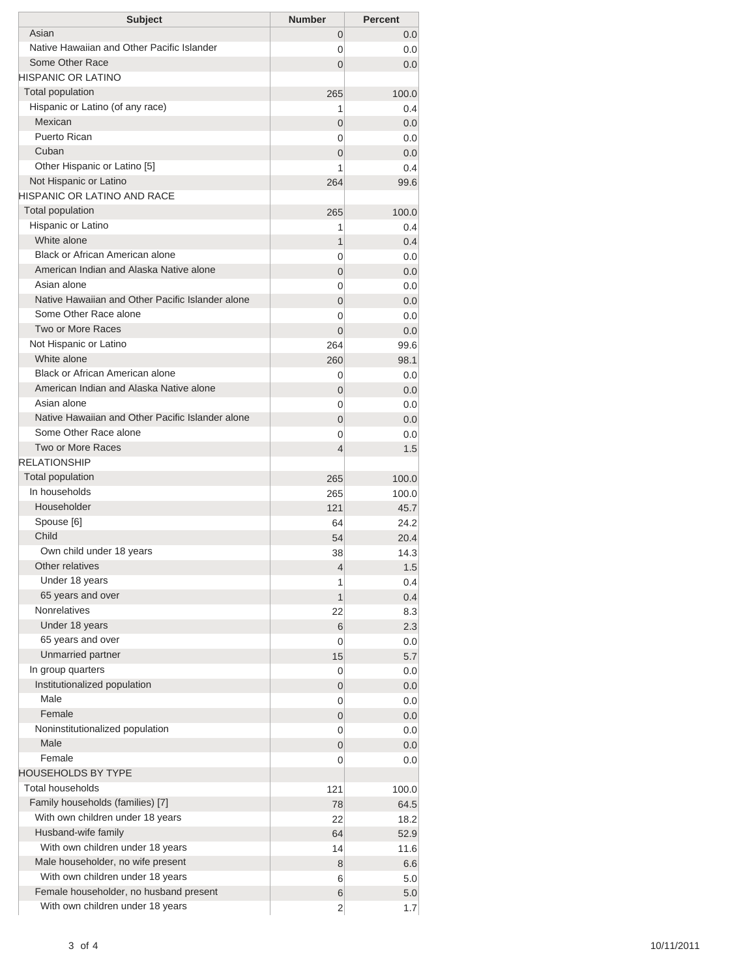| Asian<br>0                                                                      | <b>Percent</b> |
|---------------------------------------------------------------------------------|----------------|
|                                                                                 | 0.0            |
| Native Hawaiian and Other Pacific Islander<br>0                                 | 0.0            |
| Some Other Race<br>$\Omega$                                                     | 0.0            |
| HISPANIC OR LATINO                                                              |                |
| <b>Total population</b><br>265                                                  | 100.0          |
| Hispanic or Latino (of any race)<br>1                                           | 0.4            |
| Mexican<br>0                                                                    | 0.0            |
| Puerto Rican<br>0                                                               | 0.0            |
| Cuban<br>$\overline{0}$                                                         | 0.0            |
| Other Hispanic or Latino [5]<br>1                                               | 0.4            |
| Not Hispanic or Latino<br>264                                                   | 99.6           |
| HISPANIC OR LATINO AND RACE                                                     |                |
| <b>Total population</b><br>265                                                  | 100.0          |
| Hispanic or Latino<br>1                                                         | 0.4            |
| White alone<br>1                                                                | 0.4            |
| Black or African American alone<br>0                                            | 0.0            |
| American Indian and Alaska Native alone<br>0                                    | 0.0            |
| Asian alone<br>0                                                                | 0.0            |
| Native Hawaiian and Other Pacific Islander alone<br>$\overline{0}$              | 0.0            |
| Some Other Race alone<br>0                                                      | 0.0            |
| Two or More Races<br>$\Omega$                                                   | 0.0            |
| Not Hispanic or Latino<br>264                                                   | 99.6           |
| White alone<br>260                                                              | 98.1           |
| Black or African American alone<br>0<br>American Indian and Alaska Native alone | 0.0            |
| 0<br>Asian alone                                                                | 0.0            |
| 0<br>Native Hawaiian and Other Pacific Islander alone                           | 0.0            |
| $\overline{0}$<br>Some Other Race alone                                         | 0.0            |
| 0<br>Two or More Races                                                          | 0.0            |
| $\overline{4}$<br><b>RELATIONSHIP</b>                                           | 1.5            |
| Total population                                                                |                |
| 265<br>In households<br>265                                                     | 100.0          |
| Householder<br>121                                                              | 100.0<br>45.7  |
| Spouse [6]<br>64                                                                | 24.2           |
| Child<br>54                                                                     | 20.4           |
| Own child under 18 years<br>38                                                  | 14.3           |
| Other relatives<br>4                                                            | 1.5            |
| Under 18 years<br>1                                                             | 0.4            |
| 65 years and over<br>1                                                          | 0.4            |
| <b>Nonrelatives</b><br>22                                                       | 8.3            |
| Under 18 years<br>6                                                             | 2.3            |
| 65 years and over<br>0                                                          | 0.0            |
| Unmarried partner<br>15                                                         | 5.7            |
| In group quarters<br>0                                                          | 0.0            |
| Institutionalized population<br>0                                               | 0.0            |
| Male<br>0                                                                       | 0.0            |
| Female<br>$\mathbf 0$                                                           | 0.0            |
| Noninstitutionalized population<br>0                                            | 0.0            |
| Male<br>$\mathbf 0$                                                             | 0.0            |
| Female<br>0                                                                     | 0.0            |
| <b>HOUSEHOLDS BY TYPE</b>                                                       |                |
|                                                                                 | 100.0          |
| <b>Total households</b><br>121                                                  |                |
| Family households (families) [7]<br>78                                          | 64.5           |
| With own children under 18 years<br>22                                          | 18.2           |
| Husband-wife family<br>64                                                       | 52.9           |
| With own children under 18 years<br>14                                          | 11.6           |
| Male householder, no wife present<br>8                                          | 6.6            |
| With own children under 18 years<br>6                                           | 5.0            |
| Female householder, no husband present<br>6                                     | 5.0            |